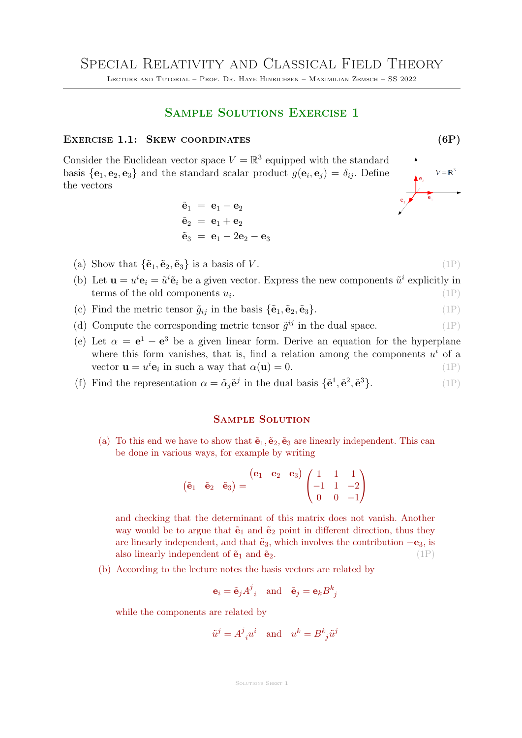Lecture and Tutorial – Prof. Dr. Haye Hinrichsen – Maximilian Zemsch – SS 2022

## Sample Solutions Exercise 1

## EXERCISE 1.1: SKEW COORDINATES (6P)

Consider the Euclidean vector space  $V = \mathbb{R}^3$  equipped with the standard basis  $\{\mathbf{e}_1, \mathbf{e}_2, \mathbf{e}_3\}$  and the standard scalar product  $g(\mathbf{e}_i, \mathbf{e}_j) = \delta_{ij}$ . Define the vectors

$$
\begin{aligned}\n\tilde{\mathbf{e}}_1 &= \mathbf{e}_1 - \mathbf{e}_2 \\
\tilde{\mathbf{e}}_2 &= \mathbf{e}_1 + \mathbf{e}_2 \\
\tilde{\mathbf{e}}_3 &= \mathbf{e}_1 - 2\mathbf{e}_2 - \mathbf{e}_3\n\end{aligned}
$$

- (a) Show that  $\{\tilde{\mathbf{e}}_1, \tilde{\mathbf{e}}_2, \tilde{\mathbf{e}}_3\}$  is a basis of V. (1P)
- (b) Let  $\mathbf{u} = u^i \mathbf{e}_i = \tilde{u}^i \tilde{\mathbf{e}}_i$  be a given vector. Express the new components  $\tilde{u}^i$  explicitly in terms of the old components  $u_i$ . .  $(1P)$
- (c) Find the metric tensor  $\tilde{g}_{ij}$  in the basis  $\{\tilde{\mathbf{e}}_1, \tilde{\mathbf{e}}_2, \tilde{\mathbf{e}}_3\}$ . (1P)
- (d) Compute the corresponding metric tensor  $\tilde{g}^{ij}$  in the dual space. (1P)
- (e) Let  $\alpha = e^1 e^3$  be a given linear form. Derive an equation for the hyperplane where this form vanishes, that is, find a relation among the components  $u^i$  of a vector  $\mathbf{u} = u^i \mathbf{e}_i$  in such a way that  $\alpha(\mathbf{u}) = 0$ . (1P)

(f) Find the representation  $\alpha = \tilde{\alpha}_j \tilde{e}^j$  in the dual basis  $\{\tilde{e}^1, \tilde{e}^2, \tilde{e}^3\}$  $(1P)$ 

## Sample Solution

(a) To this end we have to show that  $\tilde{\mathbf{e}}_1, \tilde{\mathbf{e}}_2, \tilde{\mathbf{e}}_3$  are linearly independent. This can be done in various ways, for example by writing

$$
\begin{pmatrix} \tilde{\mathbf{e}}_1 & \tilde{\mathbf{e}}_2 & \tilde{\mathbf{e}}_3 \end{pmatrix} = \begin{pmatrix} \mathbf{e}_1 & \mathbf{e}_2 & \mathbf{e}_3 \end{pmatrix} \begin{pmatrix} 1 & 1 & 1 \\ -1 & 1 & -2 \\ 0 & 0 & -1 \end{pmatrix}
$$

and checking that the determinant of this matrix does not vanish. Another way would be to argue that  $\tilde{\mathbf{e}}_1$  and  $\tilde{\mathbf{e}}_2$  point in different direction, thus they are linearly independent, and that  $\tilde{e}_3$ , which involves the contribution  $-e_3$ , is also linearly independent of  $\tilde{\mathbf{e}}_1$  and  $\tilde{\mathbf{e}}_2$ . (1P)

(b) According to the lecture notes the basis vectors are related by

$$
\mathbf{e}_i = \tilde{\mathbf{e}}_j A^j_{i}
$$
 and  $\tilde{\mathbf{e}}_j = \mathbf{e}_k B^k_{j}$ 

while the components are related by

$$
\tilde{u}^j = A^j{}_i u^i \quad \text{and} \quad u^k = B^k{}_j \tilde{u}^j
$$

SOLUTIONS SHEET 1